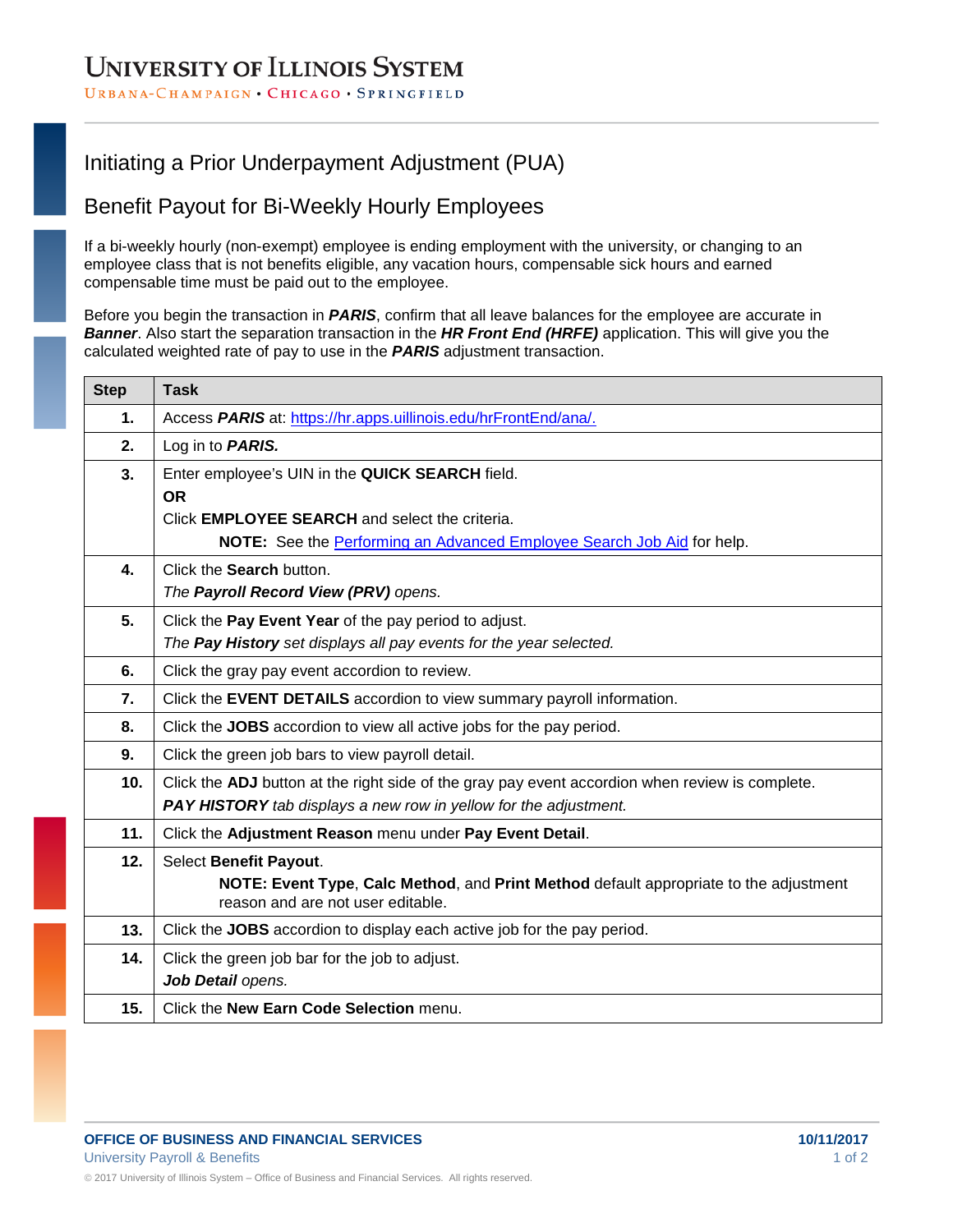# **UNIVERSITY OF ILLINOIS SYSTEM**

#### URBANA-CHAMPAIGN · CHICAGO · SPRINGFIELD

## Initiating a Prior Underpayment Adjustment (PUA)

### Benefit Payout for Bi-Weekly Hourly Employees

If a bi-weekly hourly (non-exempt) employee is ending employment with the university, or changing to an employee class that is not benefits eligible, any vacation hours, compensable sick hours and earned compensable time must be paid out to the employee.

Before you begin the transaction in *PARIS*, confirm that all leave balances for the employee are accurate in *Banner*. Also start the separation transaction in the *HR Front End (HRFE)* application. This will give you the calculated weighted rate of pay to use in the *PARIS* adjustment transaction.

| <b>Step</b> | <b>Task</b>                                                                                                                |
|-------------|----------------------------------------------------------------------------------------------------------------------------|
| 1.          | Access PARIS at: https://hr.apps.uillinois.edu/hrFrontEnd/ana/.                                                            |
| 2.          | Log in to <b>PARIS.</b>                                                                                                    |
| 3.          | Enter employee's UIN in the QUICK SEARCH field.                                                                            |
|             | <b>OR</b>                                                                                                                  |
|             | Click <b>EMPLOYEE SEARCH</b> and select the criteria.                                                                      |
|             | NOTE: See the Performing an Advanced Employee Search Job Aid for help.                                                     |
| 4.          | Click the Search button.                                                                                                   |
|             | The Payroll Record View (PRV) opens.                                                                                       |
| 5.          | Click the Pay Event Year of the pay period to adjust.                                                                      |
|             | The Pay History set displays all pay events for the year selected.                                                         |
| 6.          | Click the gray pay event accordion to review.                                                                              |
| 7.          | Click the EVENT DETAILS accordion to view summary payroll information.                                                     |
| 8.          | Click the JOBS accordion to view all active jobs for the pay period.                                                       |
| 9.          | Click the green job bars to view payroll detail.                                                                           |
| 10.         | Click the ADJ button at the right side of the gray pay event accordion when review is complete.                            |
|             | PAY HISTORY tab displays a new row in yellow for the adjustment.                                                           |
| 11.         | Click the Adjustment Reason menu under Pay Event Detail.                                                                   |
| 12.         | Select Benefit Payout.                                                                                                     |
|             | NOTE: Event Type, Calc Method, and Print Method default appropriate to the adjustment<br>reason and are not user editable. |
| 13.         | Click the JOBS accordion to display each active job for the pay period.                                                    |
| 14.         | Click the green job bar for the job to adjust.                                                                             |
|             | Job Detail opens.                                                                                                          |
| 15.         | Click the New Earn Code Selection menu.                                                                                    |